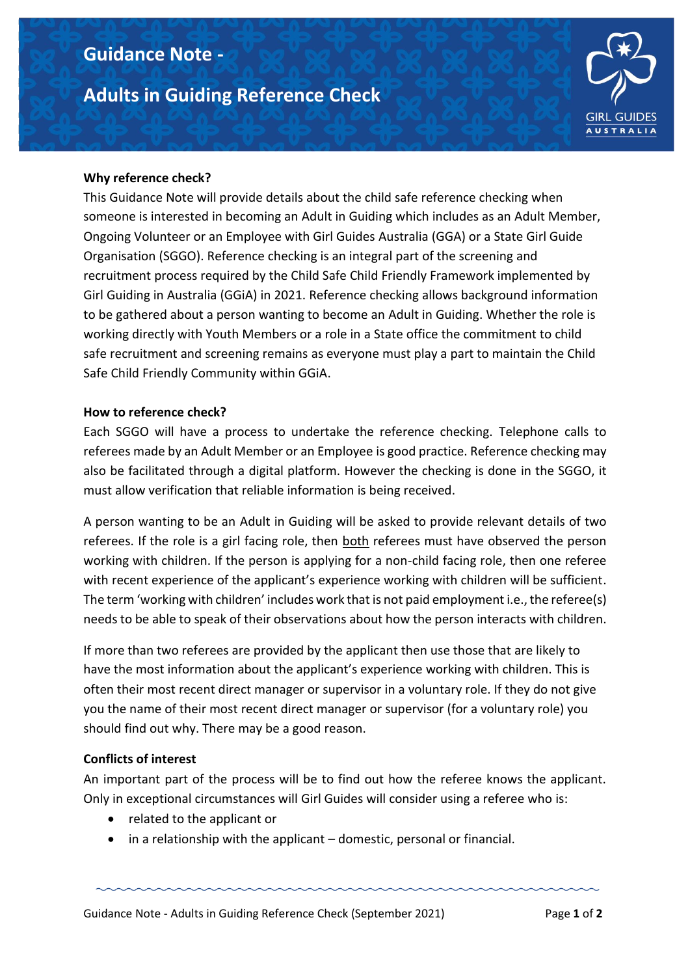## **Guidance Note -**

# **Adults in Guiding Reference Check**



#### **Why reference check?**

This Guidance Note will provide details about the child safe reference checking when someone is interested in becoming an Adult in Guiding which includes as an Adult Member, Ongoing Volunteer or an Employee with Girl Guides Australia (GGA) or a State Girl Guide Organisation (SGGO). Reference checking is an integral part of the screening and recruitment process required by the Child Safe Child Friendly Framework implemented by Girl Guiding in Australia (GGiA) in 2021. Reference checking allows background information to be gathered about a person wanting to become an Adult in Guiding. Whether the role is working directly with Youth Members or a role in a State office the commitment to child safe recruitment and screening remains as everyone must play a part to maintain the Child Safe Child Friendly Community within GGiA.

#### **How to reference check?**

Each SGGO will have a process to undertake the reference checking. Telephone calls to referees made by an Adult Member or an Employee is good practice. Reference checking may also be facilitated through a digital platform. However the checking is done in the SGGO, it must allow verification that reliable information is being received.

A person wanting to be an Adult in Guiding will be asked to provide relevant details of two referees. If the role is a girl facing role, then both referees must have observed the person working with children. If the person is applying for a non-child facing role, then one referee with recent experience of the applicant's experience working with children will be sufficient. The term 'working with children' includes work that is not paid employment i.e., the referee(s) needs to be able to speak of their observations about how the person interacts with children.

If more than two referees are provided by the applicant then use those that are likely to have the most information about the applicant's experience working with children. This is often their most recent direct manager or supervisor in a voluntary role. If they do not give you the name of their most recent direct manager or supervisor (for a voluntary role) you should find out why. There may be a good reason.

#### **Conflicts of interest**

An important part of the process will be to find out how the referee knows the applicant. Only in exceptional circumstances will Girl Guides will consider using a referee who is:

- related to the applicant or
- in a relationship with the applicant domestic, personal or financial.